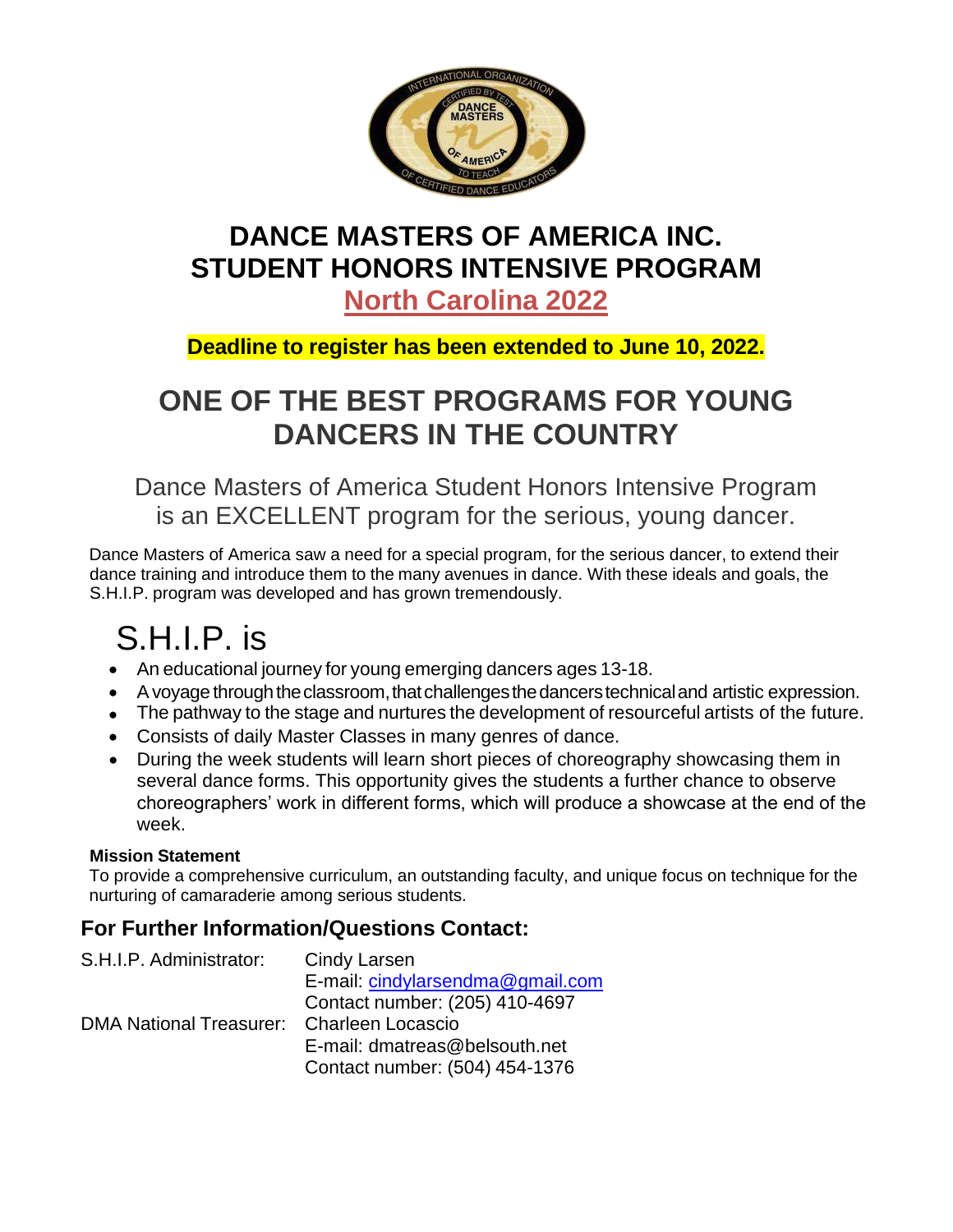

# **DANCE MASTERS OF AMERICA INC. STUDENT HONORS INTENSIVE PROGRAM**

**North Carolina 2022**

## **Deadline to register has been extended to June 10, 2022.**

## **ONE OF THE BEST PROGRAMS FOR YOUNG DANCERS IN THE COUNTRY**

Dance Masters of America Student Honors Intensive Program is an EXCELLENT program for the serious, young dancer.

Dance Masters of America saw a need for a special program, for the serious dancer, to extend their dance training and introduce them to the many avenues in dance. With these ideals and goals, the S.H.I.P. program was developed and has grown tremendously.

# S.H.I.P. is

- An educational journey for young emerging dancers ages 13-18.
- A voyage through the classroom, that challenges the dancers technical and artistic expression.
- The pathway to the stage and nurtures the development of resourceful artists of the future.
- Consists of daily Master Classes in many genres of dance.
- During the week students will learn short pieces of choreography showcasing them in several dance forms. This opportunity gives the students a further chance to observe choreographers' work in different forms, which will produce a showcase at the end of the week.

#### **Mission Statement**

To provide a comprehensive curriculum, an outstanding faculty, and unique focus on technique for the nurturing of camaraderie among serious students.

## **For Further Information/Questions Contact:**

| S.H.I.P. Administrator:                   | Cindy Larsen                     |
|-------------------------------------------|----------------------------------|
|                                           | E-mail: cindylarsendma@gmail.com |
|                                           | Contact number: (205) 410-4697   |
| DMA National Treasurer: Charleen Locascio |                                  |
|                                           | E-mail: dmatreas@belsouth.net    |
|                                           | Contact number: (504) 454-1376   |